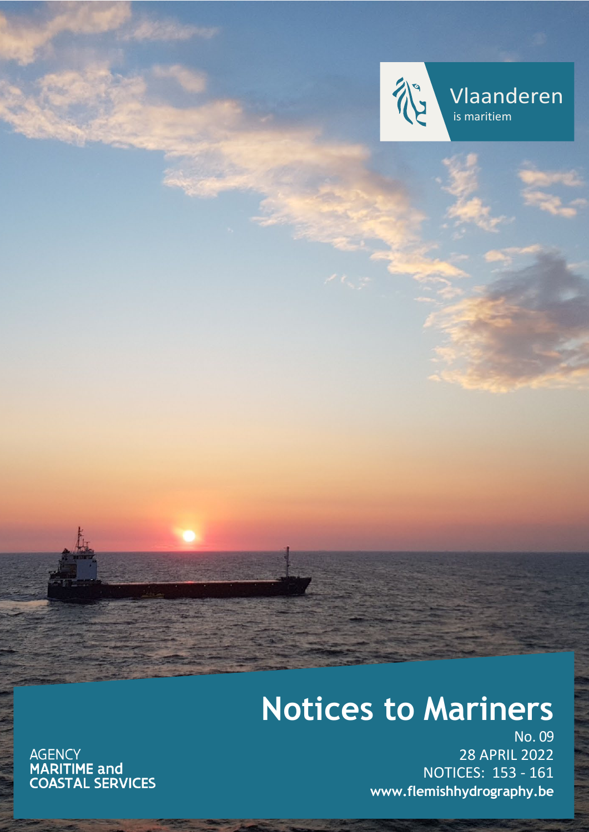

Vlaanderen is maritiem

# **Notices to Mariners**

AGENCY<br>**MARITIME and<br>COASTAL SERVICES** 

No. 09 28 APRIL 2022 NOTICES: 153 - 161 **[www.flemishhydrography.be](http://www.flemishhydrography.be/)**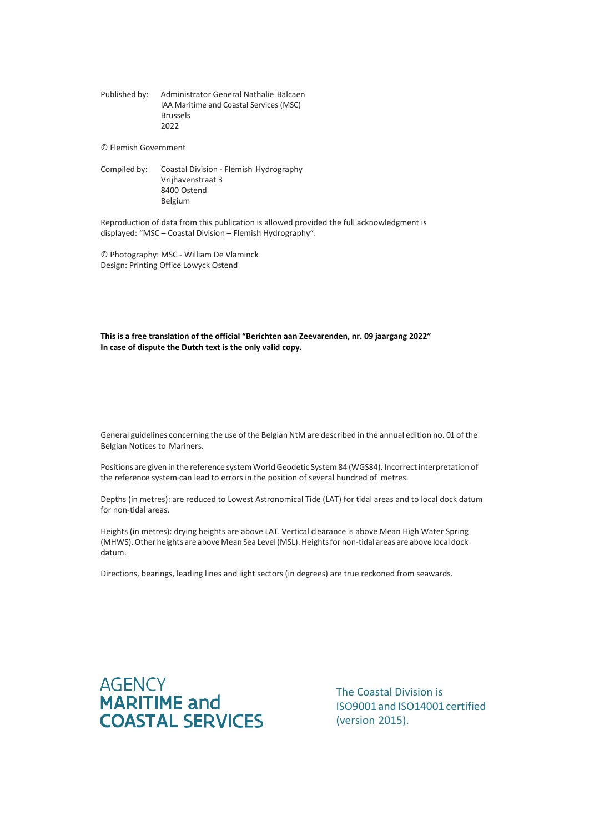Published by: Administrator General Nathalie Balcaen IAA Maritime and Coastal Services (MSC) Brussels 2022

© Flemish Government

Compiled by: Coastal Division - Flemish Hydrography Vrijhavenstraat 3 8400 Ostend Belgium

Reproduction of data from this publication is allowed provided the full acknowledgment is displayed: "MSC – Coastal Division – Flemish Hydrography".

© Photography: MSC - William De Vlaminck Design: Printing Office Lowyck Ostend

**This is a free translation of the official "Berichten aan Zeevarenden, nr. 09 jaargang 2022" In case of dispute the Dutch text is the only valid copy.**

General guidelines concerning the use of the Belgian NtM are described in the annual edition no. 01 of the Belgian Notices to Mariners.

Positions are given in the reference system World Geodetic System 84 (WGS84). Incorrect interpretation of the reference system can lead to errors in the position of several hundred of metres.

Depths (in metres): are reduced to Lowest Astronomical Tide (LAT) for tidal areas and to local dock datum for non-tidal areas.

Heights (in metres): drying heights are above LAT. Vertical clearance is above Mean High Water Spring (MHWS). Other heights are above Mean Sea Level (MSL). Heights for non-tidal areas are above local dock datum.

Directions, bearings, leading lines and light sectors (in degrees) are true reckoned from seawards.



The Coastal Division is ISO9001 and ISO14001 certified (version 2015).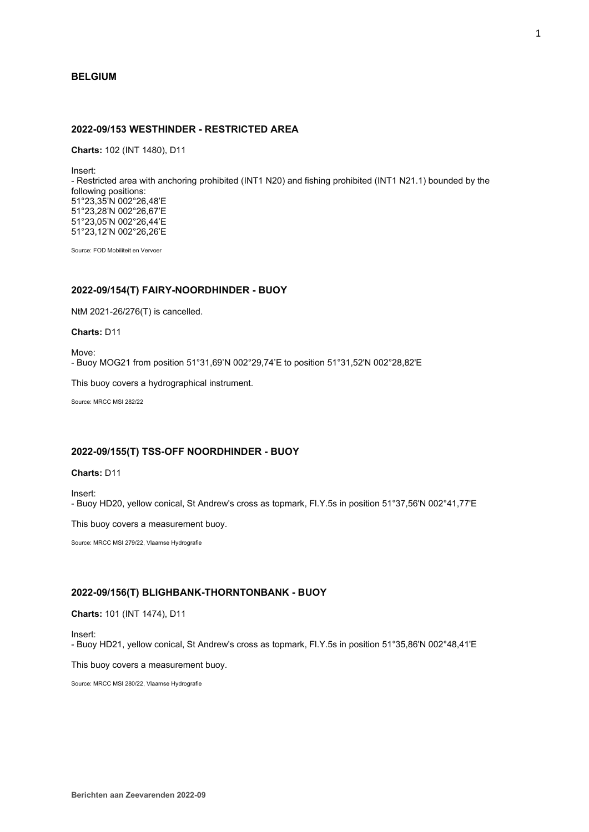## **BELGIUM**

# **2022-09/153 WESTHINDER - RESTRICTED AREA**

**Charts:** 102 (INT 1480), D11

Insert:

- Restricted area with anchoring prohibited (INT1 N20) and fishing prohibited (INT1 N21.1) bounded by the following positions: 51°23,35'N 002°26,48'E 51°23,28'N 002°26,67'E 51°23,05'N 002°26,44'E 51°23,12'N 002°26,26'E

Source: FOD Mobiliteit en Vervoer

# **2022-09/154(T) FAIRY-NOORDHINDER - BUOY**

NtM 2021-26/276(T) is cancelled.

**Charts:** D11

Move: - Buoy MOG21 from position 51°31,69'N 002°29,74'E to position 51°31,52'N 002°28,82'E

This buoy covers a hydrographical instrument.

Source: MRCC MSI 282/22

## **2022-09/155(T) TSS-OFF NOORDHINDER - BUOY**

# **Charts:** D11

Insert: - Buoy HD20, yellow conical, St Andrew's cross as topmark, Fl.Y.5s in position 51°37,56'N 002°41,77'E

This buoy covers a measurement buoy.

Source: MRCC MSI 279/22, Vlaamse Hydrografie

## **2022-09/156(T) BLIGHBANK-THORNTONBANK - BUOY**

**Charts:** 101 (INT 1474), D11

Insert:

- Buoy HD21, yellow conical, St Andrew's cross as topmark, Fl.Y.5s in position 51°35,86'N 002°48,41'E

This buoy covers a measurement buoy.

Source: MRCC MSI 280/22, Vlaamse Hydrografie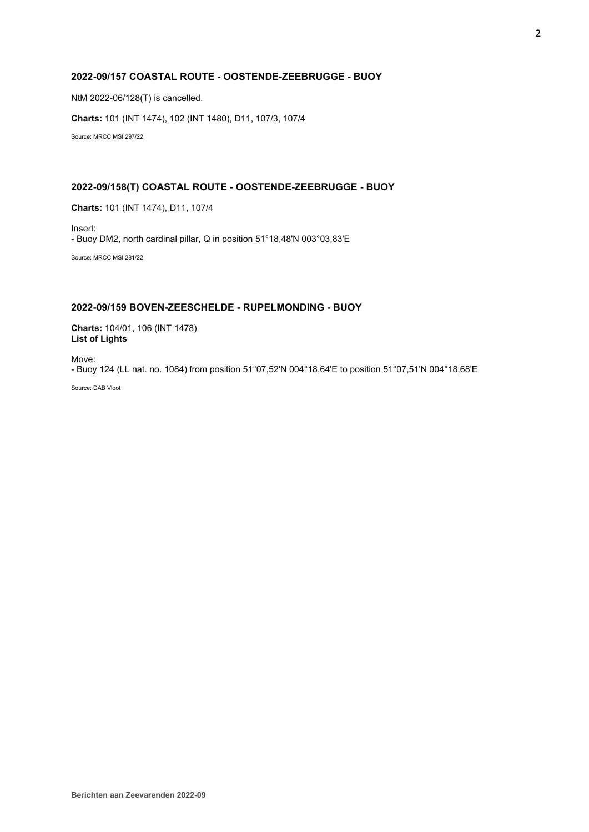# **2022-09/157 COASTAL ROUTE - OOSTENDE-ZEEBRUGGE - BUOY**

NtM 2022-06/128(T) is cancelled.

**Charts:** 101 (INT 1474), 102 (INT 1480), D11, 107/3, 107/4

Source: MRCC MSI 297/22

# **2022-09/158(T) COASTAL ROUTE - OOSTENDE-ZEEBRUGGE - BUOY**

**Charts:** 101 (INT 1474), D11, 107/4

Insert: - Buoy DM2, north cardinal pillar, Q in position 51°18,48'N 003°03,83'E

Source: MRCC MSI 281/22

# **2022-09/159 BOVEN-ZEESCHELDE - RUPELMONDING - BUOY**

**Charts:** 104/01, 106 (INT 1478) **List of Lights**

Move:

- Buoy 124 (LL nat. no. 1084) from position 51°07,52'N 004°18,64'E to position 51°07,51'N 004°18,68'E

Source: DAB Vloot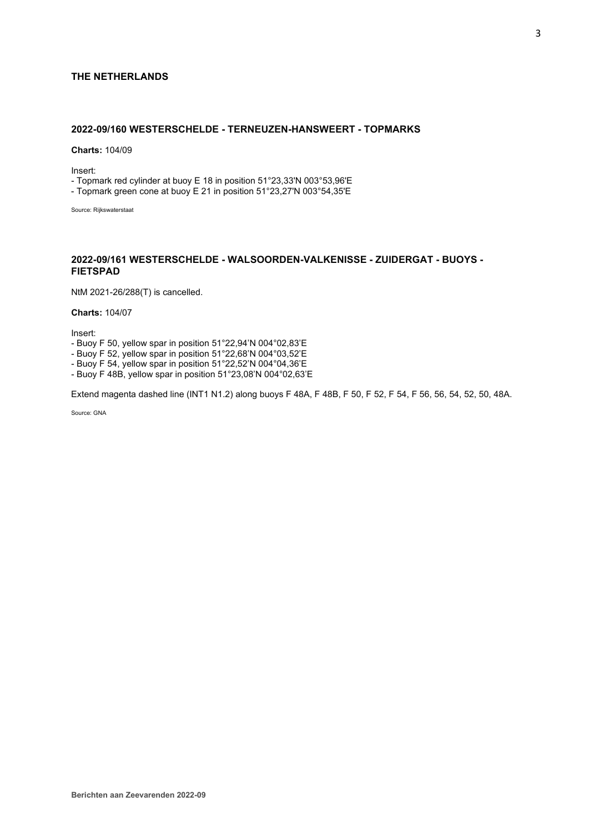# **THE NETHERLANDS**

# **2022-09/160 WESTERSCHELDE - TERNEUZEN-HANSWEERT - TOPMARKS**

**Charts:** 104/09

Insert:

- Topmark red cylinder at buoy E 18 in position 51°23,33'N 003°53,96'E

- Topmark green cone at buoy E 21 in position 51°23,27'N 003°54,35'E

Source: Rijkswaterstaat

# **2022-09/161 WESTERSCHELDE - WALSOORDEN-VALKENISSE - ZUIDERGAT - BUOYS - FIETSPAD**

NtM 2021-26/288(T) is cancelled.

**Charts:** 104/07

Insert:

- Buoy F 50, yellow spar in position 51°22,94'N 004°02,83'E

- Buoy F 52, yellow spar in position 51°22,68'N 004°03,52'E

- Buoy F 54, yellow spar in position 51°22,52'N 004°04,36'E

- Buoy F 48B, yellow spar in position 51°23,08'N 004°02,63'E

Extend magenta dashed line (INT1 N1.2) along buoys F 48A, F 48B, F 50, F 52, F 54, F 56, 56, 54, 52, 50, 48A.

Source: GNA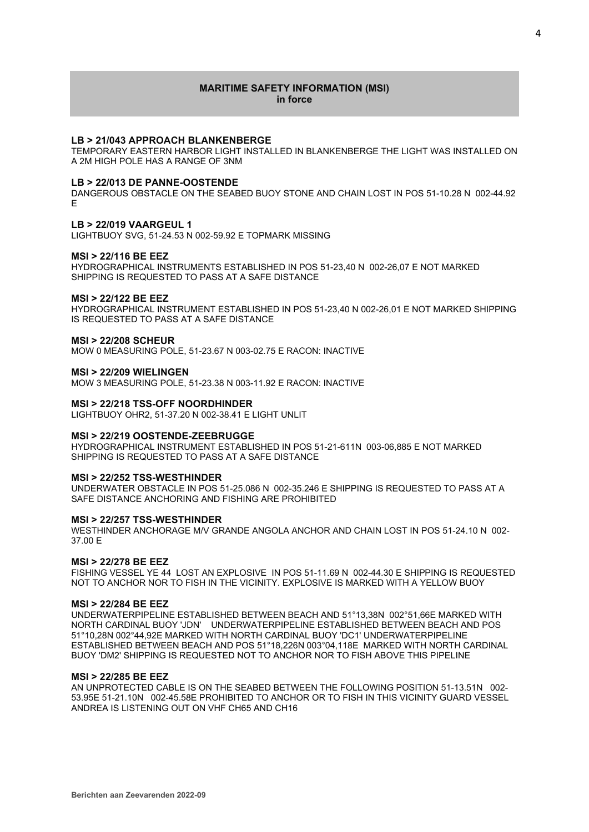## **MARITIME SAFETY INFORMATION (MSI) in force**

## **LB > 21/043 APPROACH BLANKENBERGE**

TEMPORARY EASTERN HARBOR LIGHT INSTALLED IN BLANKENBERGE THE LIGHT WAS INSTALLED ON A 2M HIGH POLE HAS A RANGE OF 3NM

#### **LB > 22/013 DE PANNE-OOSTENDE**

DANGEROUS OBSTACLE ON THE SEABED BUOY STONE AND CHAIN LOST IN POS 51-10.28 N 002-44.92 E

#### **LB > 22/019 VAARGEUL 1**

LIGHTBUOY SVG, 51-24.53 N 002-59.92 E TOPMARK MISSING

## **MSI > 22/116 BE EEZ**

HYDROGRAPHICAL INSTRUMENTS ESTABLISHED IN POS 51-23,40 N 002-26,07 E NOT MARKED SHIPPING IS REQUESTED TO PASS AT A SAFE DISTANCE

# **MSI > 22/122 BE EEZ**

HYDROGRAPHICAL INSTRUMENT ESTABLISHED IN POS 51-23,40 N 002-26,01 E NOT MARKED SHIPPING IS REQUESTED TO PASS AT A SAFE DISTANCE

#### **MSI > 22/208 SCHEUR**

MOW 0 MEASURING POLE, 51-23.67 N 003-02.75 E RACON: INACTIVE

#### **MSI > 22/209 WIELINGEN**

MOW 3 MEASURING POLE, 51-23.38 N 003-11.92 E RACON: INACTIVE

## **MSI > 22/218 TSS-OFF NOORDHINDER**

LIGHTBUOY OHR2, 51-37.20 N 002-38.41 E LIGHT UNLIT

#### **MSI > 22/219 OOSTENDE-ZEEBRUGGE**

HYDROGRAPHICAL INSTRUMENT ESTABLISHED IN POS 51-21-611N 003-06,885 E NOT MARKED SHIPPING IS REQUESTED TO PASS AT A SAFE DISTANCE

### **MSI > 22/252 TSS-WESTHINDER**

UNDERWATER OBSTACLE IN POS 51-25.086 N 002-35.246 E SHIPPING IS REQUESTED TO PASS AT A SAFE DISTANCE ANCHORING AND FISHING ARE PROHIBITED

#### **MSI > 22/257 TSS-WESTHINDER**

WESTHINDER ANCHORAGE M/V GRANDE ANGOLA ANCHOR AND CHAIN LOST IN POS 51-24.10 N 002- 37.00 E

#### **MSI > 22/278 BE EEZ**

FISHING VESSEL YE 44 LOST AN EXPLOSIVE IN POS 51-11.69 N 002-44.30 E SHIPPING IS REQUESTED NOT TO ANCHOR NOR TO FISH IN THE VICINITY. EXPLOSIVE IS MARKED WITH A YELLOW BUOY

#### **MSI > 22/284 BE EEZ**

UNDERWATERPIPELINE ESTABLISHED BETWEEN BEACH AND 51°13,38N 002°51,66E MARKED WITH NORTH CARDINAL BUOY 'JDN' UNDERWATERPIPELINE ESTABLISHED BETWEEN BEACH AND POS 51°10,28N 002°44,92E MARKED WITH NORTH CARDINAL BUOY 'DC1' UNDERWATERPIPELINE ESTABLISHED BETWEEN BEACH AND POS 51°18,226N 003°04,118E MARKED WITH NORTH CARDINAL BUOY 'DM2' SHIPPING IS REQUESTED NOT TO ANCHOR NOR TO FISH ABOVE THIS PIPELINE

## **MSI > 22/285 BE EEZ**

AN UNPROTECTED CABLE IS ON THE SEABED BETWEEN THE FOLLOWING POSITION 51-13.51N 002- 53.95E 51-21.10N 002-45.58E PROHIBITED TO ANCHOR OR TO FISH IN THIS VICINITY GUARD VESSEL ANDREA IS LISTENING OUT ON VHF CH65 AND CH16